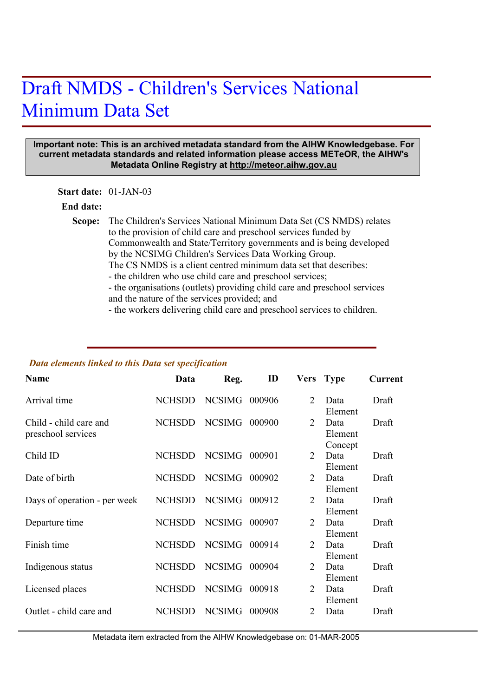## Draft NMDS - Children's Services National Minimum Data Set

## **Important note: This is an archived metadata standard from the AIHW Knowledgebase. For current metadata standards and related information please access METeOR, the AIHW's Metadata Online Registry at http://meteor.aihw.gov.au**

**Start date:** 01-JAN-03

## **End date:**

Scope: The Children's Services National Minimum Data Set (CS NMDS) relates to the provision of child care and preschool services funded by Commonwealth and State/Territory governments and is being developed by the NCSIMG Children's Services Data Working Group. The CS NMDS is a client centred minimum data set that describes: - the children who use child care and preschool services; - the organisations (outlets) providing child care and preschool services and the nature of the services provided; and

- the workers delivering child care and preschool services to children.

## *Data elements linked to this Data set specification*

| <b>Name</b>                                  | Data          | Reg.          | ID     |                             | Vers Type                  | Current |
|----------------------------------------------|---------------|---------------|--------|-----------------------------|----------------------------|---------|
| Arrival time                                 | <b>NCHSDD</b> | <b>NCSIMG</b> | 000906 | 2                           | Data<br>Element            | Draft   |
| Child - child care and<br>preschool services | <b>NCHSDD</b> | NCSIMG        | 000900 | $\mathcal{D}_{\mathcal{L}}$ | Data<br>Element<br>Concept | Draft   |
| Child ID                                     | <b>NCHSDD</b> | <b>NCSIMG</b> | 000901 | $\mathcal{D}_{\mathcal{L}}$ | Data<br>Element            | Draft   |
| Date of birth                                | <b>NCHSDD</b> | <b>NCSIMG</b> | 000902 | 2                           | Data<br>Element            | Draft   |
| Days of operation - per week                 | <b>NCHSDD</b> | <b>NCSIMG</b> | 000912 | $\mathcal{D}_{\mathcal{L}}$ | Data<br>Element            | Draft   |
| Departure time                               | <b>NCHSDD</b> | <b>NCSIMG</b> | 000907 | $\mathcal{D}_{\mathcal{L}}$ | Data<br>Element            | Draft   |
| Finish time                                  | <b>NCHSDD</b> | <b>NCSIMG</b> | 000914 | $\mathcal{D}_{\mathcal{L}}$ | Data<br>Element            | Draft   |
| Indigenous status                            | <b>NCHSDD</b> | <b>NCSIMG</b> | 000904 | $\mathcal{D}_{\mathcal{L}}$ | Data<br>Element            | Draft   |
| Licensed places                              | <b>NCHSDD</b> | <b>NCSIMG</b> | 000918 | 2                           | Data<br>Element            | Draft   |
| Outlet - child care and                      | <b>NCHSDD</b> | <b>NCSIMG</b> | 000908 | 2                           | Data                       | Draft   |